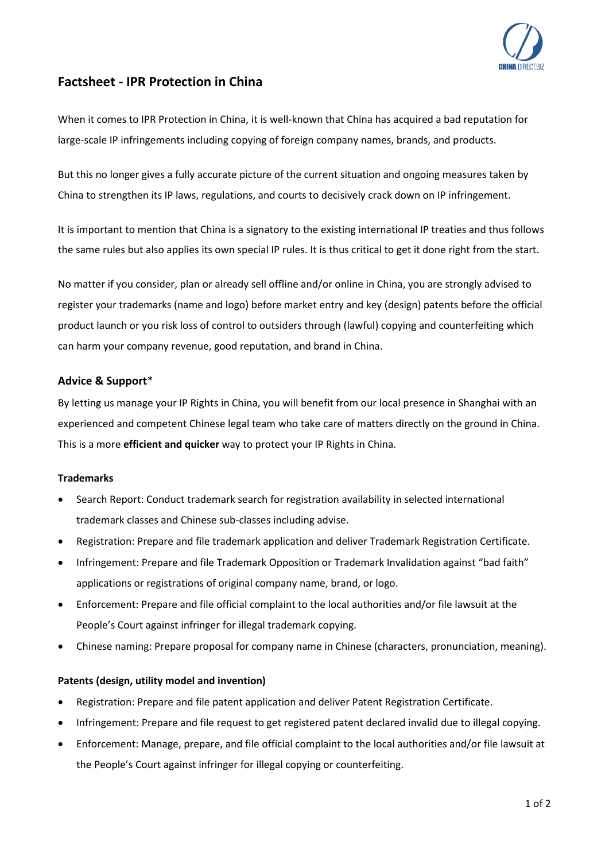

# **Factsheet - IPR Protection in China**

When it comes to IPR Protection in China, it is well-known that China has acquired a bad reputation for large-scale IP infringements including copying of foreign company names, brands, and products.

But this no longer gives a fully accurate picture of the current situation and ongoing measures taken by China to strengthen its IP laws, regulations, and courts to decisively crack down on IP infringement.

It is important to mention that China is a signatory to the existing international IP treaties and thus follows the same rules but also applies its own special IP rules. It is thus critical to get it done right from the start.

No matter if you consider, plan or already sell offline and/or online in China, you are strongly advised to register your trademarks (name and logo) before market entry and key (design) patents before the official product launch or you risk loss of control to outsiders through (lawful) copying and counterfeiting which can harm your company revenue, good reputation, and brand in China.

# **Advice & Support**\*

By letting us manage your IP Rights in China, you will benefit from our local presence in Shanghai with an experienced and competent Chinese legal team who take care of matters directly on the ground in China. This is a more **efficient and quicker** way to protect your IP Rights in China.

#### **Trademarks**

- Search Report: Conduct trademark search for registration availability in selected international trademark classes and Chinese sub-classes including advise.
- Registration: Prepare and file trademark application and deliver Trademark Registration Certificate.
- Infringement: Prepare and file Trademark Opposition or Trademark Invalidation against "bad faith" applications or registrations of original company name, brand, or logo.
- Enforcement: Prepare and file official complaint to the local authorities and/or file lawsuit at the People's Court against infringer for illegal trademark copying.
- Chinese naming: Prepare proposal for company name in Chinese (characters, pronunciation, meaning).

# **Patents (design, utility model and invention)**

- Registration: Prepare and file patent application and deliver Patent Registration Certificate.
- Infringement: Prepare and file request to get registered patent declared invalid due to illegal copying.
- Enforcement: Manage, prepare, and file official complaint to the local authorities and/or file lawsuit at the People's Court against infringer for illegal copying or counterfeiting.